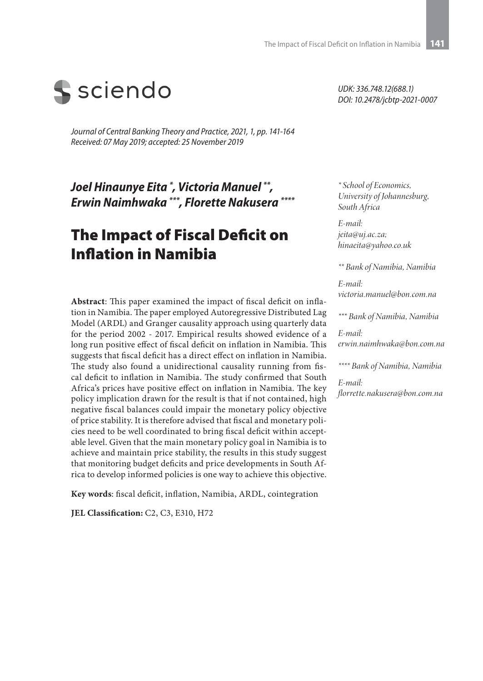

*Journal of Central Banking Theory and Practice, 2021, 1, pp. 141-164 Received: 07 May 2019; accepted: 25 November 2019*

*Joel Hinaunye Eita \* , Victoria Manuel \*\*, Erwin Naimhwaka \*\*\*, Florette Nakusera \*\*\*\**

# The Impact of Fiscal Deficit on Inflation in Namibia

**Abstract**: This paper examined the impact of fiscal deficit on inflation in Namibia. The paper employed Autoregressive Distributed Lag Model (ARDL) and Granger causality approach using quarterly data for the period 2002 - 2017. Empirical results showed evidence of a long run positive effect of fiscal deficit on inflation in Namibia. This suggests that fiscal deficit has a direct effect on inflation in Namibia. The study also found a unidirectional causality running from fiscal deficit to inflation in Namibia. The study confirmed that South Africa's prices have positive effect on inflation in Namibia. The key policy implication drawn for the result is that if not contained, high negative fiscal balances could impair the monetary policy objective of price stability. It is therefore advised that fiscal and monetary policies need to be well coordinated to bring fiscal deficit within acceptable level. Given that the main monetary policy goal in Namibia is to achieve and maintain price stability, the results in this study suggest that monitoring budget deficits and price developments in South Africa to develop informed policies is one way to achieve this objective.

**Key words**: fiscal deficit, inflation, Namibia, ARDL, cointegration

**JEL Classification:** C2, C3, E310, H72

*UDK: 336.748.12(688.1) DOI: 10.2478/jcbtp-2021-0007*

*\* School of Economics, University of Johannesburg, South Africa*

*E-mail: jeita@uj.ac.za; hinaeita@yahoo.co.uk*

*\*\* Bank of Namibia, Namibia*

*E-mail: victoria.manuel@bon.com.na*

*\*\*\* Bank of Namibia, Namibia*

*E-mail: erwin.naimhwaka@bon.com.na*

*\*\*\*\* Bank of Namibia, Namibia*

*E-mail: florrette.nakusera@bon.com.na*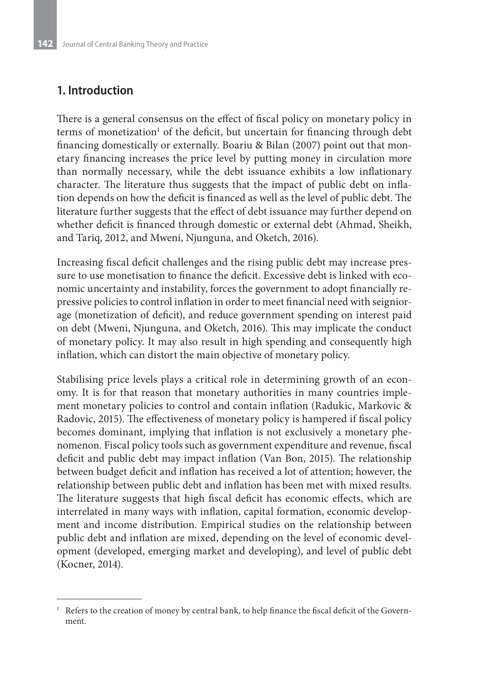# **1. Introduction**

There is a general consensus on the effect of fiscal policy on monetary policy in terms of monetization<sup>1</sup> of the deficit, but uncertain for financing through debt financing domestically or externally. Boariu & Bilan (2007) point out that monetary financing increases the price level by putting money in circulation more than normally necessary, while the debt issuance exhibits a low inflationary character. The literature thus suggests that the impact of public debt on inflation depends on how the deficit is financed as well as the level of public debt. The literature further suggests that the effect of debt issuance may further depend on whether deficit is financed through domestic or external debt (Ahmad, Sheikh, and Tariq, 2012, and Mweni, Njunguna, and Oketch, 2016).

Increasing fiscal deficit challenges and the rising public debt may increase pressure to use monetisation to finance the deficit. Excessive debt is linked with economic uncertainty and instability, forces the government to adopt financially repressive policies to control inflation in order to meet financial need with seigniorage (monetization of deficit), and reduce government spending on interest paid on debt (Mweni, Njunguna, and Oketch, 2016). This may implicate the conduct of monetary policy. It may also result in high spending and consequently high inflation, which can distort the main objective of monetary policy.

Stabilising price levels plays a critical role in determining growth of an economy. It is for that reason that monetary authorities in many countries implement monetary policies to control and contain inflation (Radukic, Markovic & Radovic, 2015). The effectiveness of monetary policy is hampered if fiscal policy becomes dominant, implying that inflation is not exclusively a monetary phenomenon. Fiscal policy tools such as government expenditure and revenue, fiscal deficit and public debt may impact inflation (Van Bon, 2015). The relationship between budget deficit and inflation has received a lot of attention; however, the relationship between public debt and inflation has been met with mixed results. The literature suggests that high fiscal deficit has economic effects, which are interrelated in many ways with inflation, capital formation, economic development and income distribution. Empirical studies on the relationship between public debt and inflation are mixed, depending on the level of economic development (developed, emerging market and developing), and level of public debt (Kocner, 2014).

<sup>&</sup>lt;sup>1</sup> Refers to the creation of money by central bank, to help finance the fiscal deficit of the Government.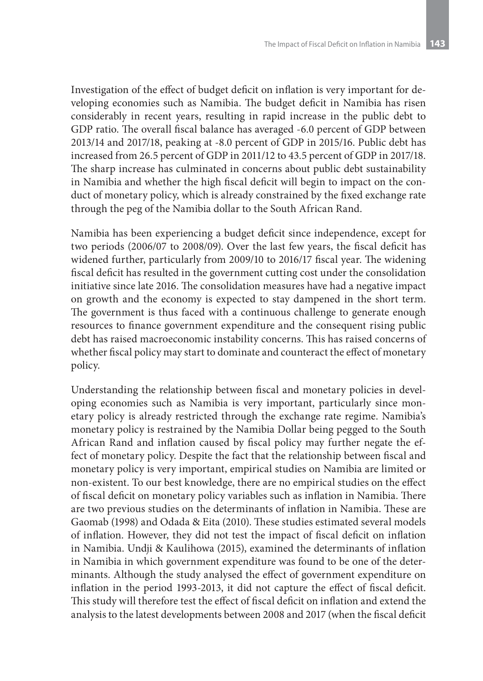Investigation of the effect of budget deficit on inflation is very important for developing economies such as Namibia. The budget deficit in Namibia has risen considerably in recent years, resulting in rapid increase in the public debt to GDP ratio. The overall fiscal balance has averaged -6.0 percent of GDP between 2013/14 and 2017/18, peaking at -8.0 percent of GDP in 2015/16. Public debt has increased from 26.5 percent of GDP in 2011/12 to 43.5 percent of GDP in 2017/18. The sharp increase has culminated in concerns about public debt sustainability in Namibia and whether the high fiscal deficit will begin to impact on the conduct of monetary policy, which is already constrained by the fixed exchange rate through the peg of the Namibia dollar to the South African Rand.

Namibia has been experiencing a budget deficit since independence, except for two periods (2006/07 to 2008/09). Over the last few years, the fiscal deficit has widened further, particularly from 2009/10 to 2016/17 fiscal year. The widening fiscal deficit has resulted in the government cutting cost under the consolidation initiative since late 2016. The consolidation measures have had a negative impact on growth and the economy is expected to stay dampened in the short term. The government is thus faced with a continuous challenge to generate enough resources to finance government expenditure and the consequent rising public debt has raised macroeconomic instability concerns. This has raised concerns of whether fiscal policy may start to dominate and counteract the effect of monetary policy.

Understanding the relationship between fiscal and monetary policies in developing economies such as Namibia is very important, particularly since monetary policy is already restricted through the exchange rate regime. Namibia's monetary policy is restrained by the Namibia Dollar being pegged to the South African Rand and inflation caused by fiscal policy may further negate the effect of monetary policy. Despite the fact that the relationship between fiscal and monetary policy is very important, empirical studies on Namibia are limited or non-existent. To our best knowledge, there are no empirical studies on the effect of fiscal deficit on monetary policy variables such as inflation in Namibia. There are two previous studies on the determinants of inflation in Namibia. These are Gaomab (1998) and Odada & Eita (2010). These studies estimated several models of inflation. However, they did not test the impact of fiscal deficit on inflation in Namibia. Undji & Kaulihowa (2015), examined the determinants of inflation in Namibia in which government expenditure was found to be one of the determinants. Although the study analysed the effect of government expenditure on inflation in the period 1993-2013, it did not capture the effect of fiscal deficit. This study will therefore test the effect of fiscal deficit on inflation and extend the analysis to the latest developments between 2008 and 2017 (when the fiscal deficit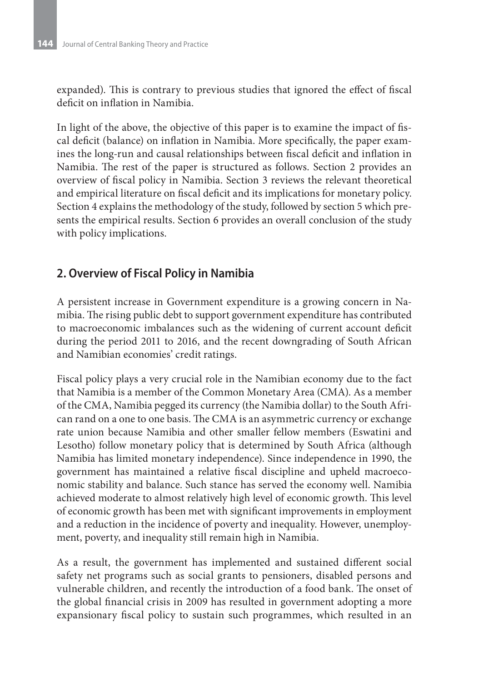expanded). This is contrary to previous studies that ignored the effect of fiscal deficit on inflation in Namibia.

In light of the above, the objective of this paper is to examine the impact of fiscal deficit (balance) on inflation in Namibia. More specifically, the paper examines the long-run and causal relationships between fiscal deficit and inflation in Namibia. The rest of the paper is structured as follows. Section 2 provides an overview of fiscal policy in Namibia. Section 3 reviews the relevant theoretical and empirical literature on fiscal deficit and its implications for monetary policy. Section 4 explains the methodology of the study, followed by section 5 which presents the empirical results. Section 6 provides an overall conclusion of the study with policy implications.

### **2. Overview of Fiscal Policy in Namibia**

A persistent increase in Government expenditure is a growing concern in Namibia. The rising public debt to support government expenditure has contributed to macroeconomic imbalances such as the widening of current account deficit during the period 2011 to 2016, and the recent downgrading of South African and Namibian economies' credit ratings.

Fiscal policy plays a very crucial role in the Namibian economy due to the fact that Namibia is a member of the Common Monetary Area (CMA). As a member of the CMA, Namibia pegged its currency (the Namibia dollar) to the South African rand on a one to one basis. The CMA is an asymmetric currency or exchange rate union because Namibia and other smaller fellow members (Eswatini and Lesotho) follow monetary policy that is determined by South Africa (although Namibia has limited monetary independence). Since independence in 1990, the government has maintained a relative fiscal discipline and upheld macroeconomic stability and balance. Such stance has served the economy well. Namibia achieved moderate to almost relatively high level of economic growth. This level of economic growth has been met with significant improvements in employment and a reduction in the incidence of poverty and inequality. However, unemployment, poverty, and inequality still remain high in Namibia.

As a result, the government has implemented and sustained different social safety net programs such as social grants to pensioners, disabled persons and vulnerable children, and recently the introduction of a food bank. The onset of the global financial crisis in 2009 has resulted in government adopting a more expansionary fiscal policy to sustain such programmes, which resulted in an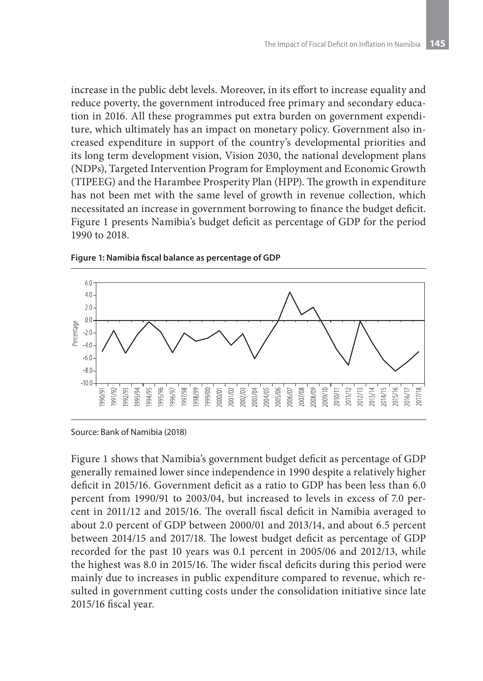increase in the public debt levels. Moreover, in its effort to increase equality and reduce poverty, the government introduced free primary and secondary education in 2016. All these programmes put extra burden on government expenditure, which ultimately has an impact on monetary policy. Government also increased expenditure in support of the country's developmental priorities and its long term development vision, Vision 2030, the national development plans (NDPs), Targeted Intervention Program for Employment and Economic Growth (TIPEEG) and the Harambee Prosperity Plan (HPP). The growth in expenditure has not been met with the same level of growth in revenue collection, which necessitated an increase in government borrowing to finance the budget deficit. Figure 1 presents Namibia's budget deficit as percentage of GDP for the period 1990 to 2018.



**Figure 1: Namibia fiscal balance as percentage of GDP**

Source: Bank of Namibia (2018)

Figure 1 shows that Namibia's government budget deficit as percentage of GDP generally remained lower since independence in 1990 despite a relatively higher deficit in 2015/16. Government deficit as a ratio to GDP has been less than 6.0 percent from 1990/91 to 2003/04, but increased to levels in excess of 7.0 percent in 2011/12 and 2015/16. The overall fiscal deficit in Namibia averaged to about 2.0 percent of GDP between 2000/01 and 2013/14, and about 6.5 percent between 2014/15 and 2017/18. The lowest budget deficit as percentage of GDP recorded for the past 10 years was 0.1 percent in 2005/06 and 2012/13, while the highest was 8.0 in 2015/16. The wider fiscal deficits during this period were mainly due to increases in public expenditure compared to revenue, which resulted in government cutting costs under the consolidation initiative since late 2015/16 fiscal year.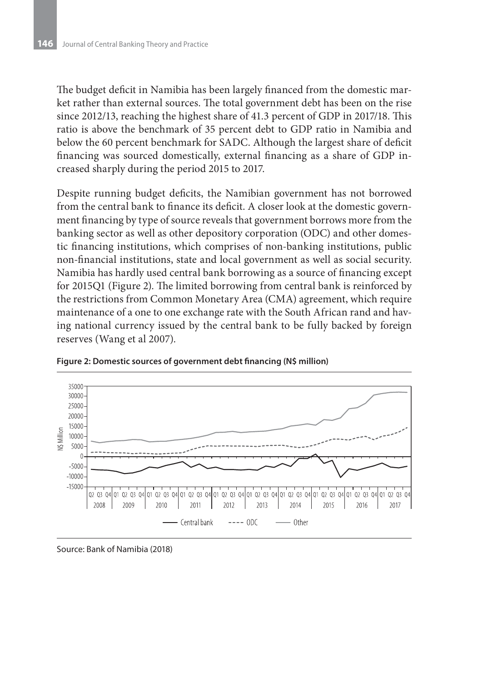The budget deficit in Namibia has been largely financed from the domestic market rather than external sources. The total government debt has been on the rise since 2012/13, reaching the highest share of 41.3 percent of GDP in 2017/18. This ratio is above the benchmark of 35 percent debt to GDP ratio in Namibia and below the 60 percent benchmark for SADC. Although the largest share of deficit financing was sourced domestically, external financing as a share of GDP increased sharply during the period 2015 to 2017.

Despite running budget deficits, the Namibian government has not borrowed from the central bank to finance its deficit. A closer look at the domestic government financing by type of source reveals that government borrows more from the banking sector as well as other depository corporation (ODC) and other domestic financing institutions, which comprises of non-banking institutions, public non-financial institutions, state and local government as well as social security. Namibia has hardly used central bank borrowing as a source of financing except for 2015Q1 (Figure 2). The limited borrowing from central bank is reinforced by the restrictions from Common Monetary Area (CMA) agreement, which require maintenance of a one to one exchange rate with the South African rand and having national currency issued by the central bank to be fully backed by foreign reserves (Wang et al 2007).





Source: Bank of Namibia (2018)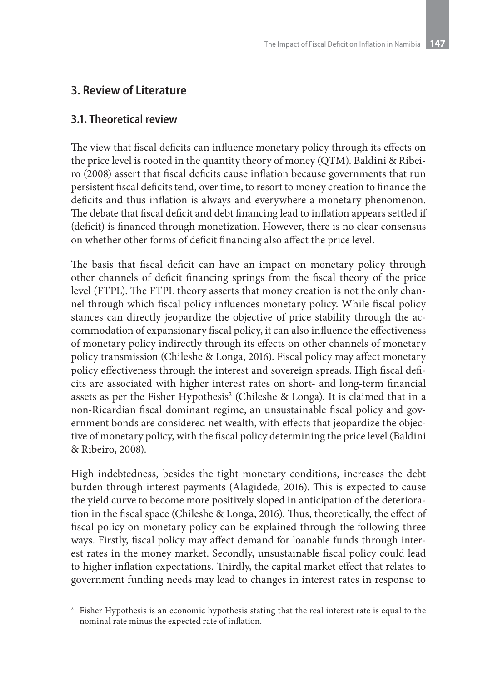# **3. Review of Literature**

### **3.1. Theoretical review**

The view that fiscal deficits can influence monetary policy through its effects on the price level is rooted in the quantity theory of money (QTM). Baldini & Ribeiro (2008) assert that fiscal deficits cause inflation because governments that run persistent fiscal deficits tend, over time, to resort to money creation to finance the deficits and thus inflation is always and everywhere a monetary phenomenon. The debate that fiscal deficit and debt financing lead to inflation appears settled if (deficit) is financed through monetization. However, there is no clear consensus on whether other forms of deficit financing also affect the price level.

The basis that fiscal deficit can have an impact on monetary policy through other channels of deficit financing springs from the fiscal theory of the price level (FTPL). The FTPL theory asserts that money creation is not the only channel through which fiscal policy influences monetary policy. While fiscal policy stances can directly jeopardize the objective of price stability through the accommodation of expansionary fiscal policy, it can also influence the effectiveness of monetary policy indirectly through its effects on other channels of monetary policy transmission (Chileshe & Longa, 2016). Fiscal policy may affect monetary policy effectiveness through the interest and sovereign spreads. High fiscal deficits are associated with higher interest rates on short- and long-term financial assets as per the Fisher Hypothesis<sup>2</sup> (Chileshe & Longa). It is claimed that in a non-Ricardian fiscal dominant regime, an unsustainable fiscal policy and government bonds are considered net wealth, with effects that jeopardize the objective of monetary policy, with the fiscal policy determining the price level (Baldini & Ribeiro, 2008).

High indebtedness, besides the tight monetary conditions, increases the debt burden through interest payments (Alagidede, 2016). This is expected to cause the yield curve to become more positively sloped in anticipation of the deterioration in the fiscal space (Chileshe & Longa, 2016). Thus, theoretically, the effect of fiscal policy on monetary policy can be explained through the following three ways. Firstly, fiscal policy may affect demand for loanable funds through interest rates in the money market. Secondly, unsustainable fiscal policy could lead to higher inflation expectations. Thirdly, the capital market effect that relates to government funding needs may lead to changes in interest rates in response to

<sup>&</sup>lt;sup>2</sup> Fisher Hypothesis is an economic hypothesis stating that the real interest rate is equal to the nominal rate minus the expected rate of inflation.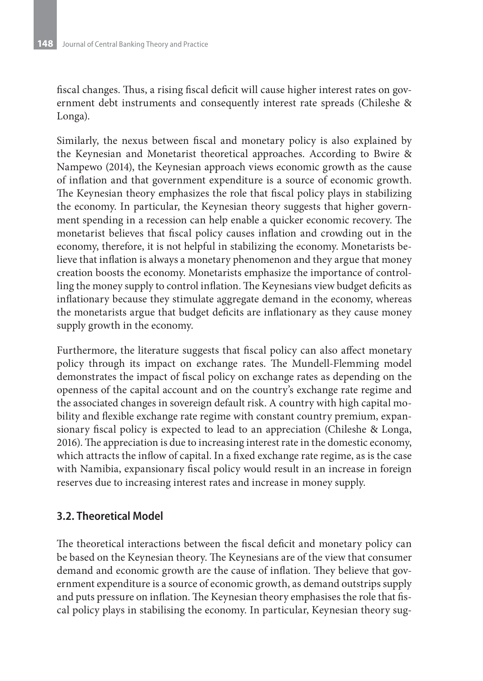fiscal changes. Thus, a rising fiscal deficit will cause higher interest rates on government debt instruments and consequently interest rate spreads (Chileshe & Longa).

Similarly, the nexus between fiscal and monetary policy is also explained by the Keynesian and Monetarist theoretical approaches. According to Bwire & Nampewo (2014), the Keynesian approach views economic growth as the cause of inflation and that government expenditure is a source of economic growth. The Keynesian theory emphasizes the role that fiscal policy plays in stabilizing the economy. In particular, the Keynesian theory suggests that higher government spending in a recession can help enable a quicker economic recovery. The monetarist believes that fiscal policy causes inflation and crowding out in the economy, therefore, it is not helpful in stabilizing the economy. Monetarists believe that inflation is always a monetary phenomenon and they argue that money creation boosts the economy. Monetarists emphasize the importance of controlling the money supply to control inflation. The Keynesians view budget deficits as inflationary because they stimulate aggregate demand in the economy, whereas the monetarists argue that budget deficits are inflationary as they cause money supply growth in the economy.

Furthermore, the literature suggests that fiscal policy can also affect monetary policy through its impact on exchange rates. The Mundell-Flemming model demonstrates the impact of fiscal policy on exchange rates as depending on the openness of the capital account and on the country's exchange rate regime and the associated changes in sovereign default risk. A country with high capital mobility and flexible exchange rate regime with constant country premium, expansionary fiscal policy is expected to lead to an appreciation (Chileshe & Longa, 2016). The appreciation is due to increasing interest rate in the domestic economy, which attracts the inflow of capital. In a fixed exchange rate regime, as is the case with Namibia, expansionary fiscal policy would result in an increase in foreign reserves due to increasing interest rates and increase in money supply.

### **3.2. Theoretical Model**

The theoretical interactions between the fiscal deficit and monetary policy can be based on the Keynesian theory. The Keynesians are of the view that consumer demand and economic growth are the cause of inflation. They believe that government expenditure is a source of economic growth, as demand outstrips supply and puts pressure on inflation. The Keynesian theory emphasises the role that fiscal policy plays in stabilising the economy. In particular, Keynesian theory sug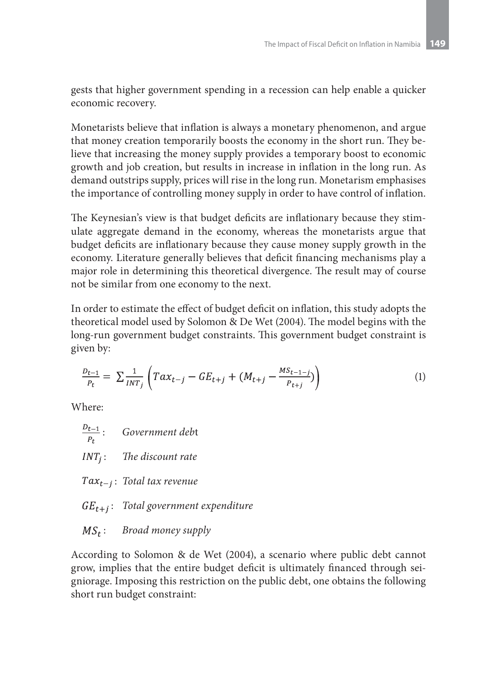gests that higher government spending in a recession can help enable a quicker economic recovery.

Monetarists believe that inflation is always a monetary phenomenon, and argue that money creation temporarily boosts the economy in the short run. They believe that increasing the money supply provides a temporary boost to economic growth and job creation, but results in increase in inflation in the long run. As demand outstrips supply, prices will rise in the long run. Monetarism emphasises the importance of controlling money supply in order to have control of inflation.

The Keynesian's view is that budget deficits are inflationary because they stimulate aggregate demand in the economy, whereas the monetarists argue that budget deficits are inflationary because they cause money supply growth in the economy. Literature generally believes that deficit financing mechanisms play a major role in determining this theoretical divergence. The result may of course not be similar from one economy to the next.

In order to estimate the effect of budget deficit on inflation, this study adopts the theoretical model used by Solomon & De Wet (2004). The model begins with the long-run government budget constraints. This government budget constraint is given by:

$$
\frac{D_{t-1}}{P_t} = \sum \frac{1}{INT_j} \left( Tax_{t-j} - GE_{t+j} + (M_{t+j} - \frac{MS_{t-1-j}}{P_{t+j}}) \right)
$$
(1)

Where:

- $\frac{D_{t-1}}{P_t}$ : *Government debt*  : *The discount rate* : *Total tax revenue* : *Total government expenditure*
- : *Broad money supply*

According to Solomon & de Wet (2004), a scenario where public debt cannot grow, implies that the entire budget deficit is ultimately financed through seigniorage. Imposing this restriction on the public debt, one obtains the following short run budget constraint: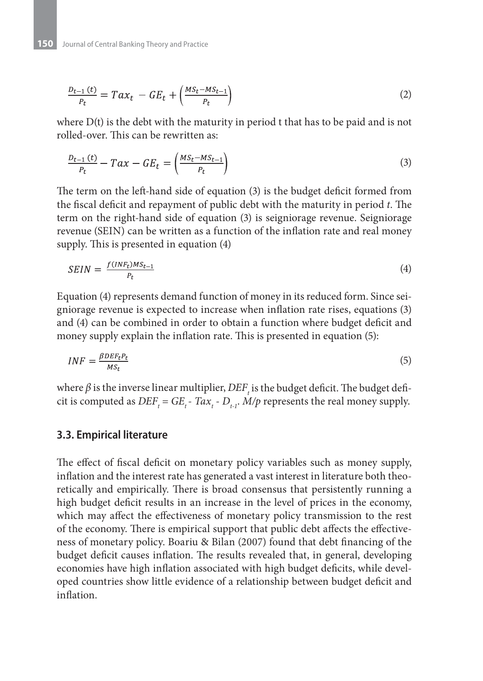$$
\frac{D_{t-1}(t)}{P_t} = Tax_t - GE_t + \left(\frac{MS_t - MS_{t-1}}{P_t}\right)
$$
\n(2)

where  $D(t)$  is the debt with the maturity in period t that has to be paid and is not rolled-over. This can be rewritten as:

$$
\frac{D_{t-1}(t)}{P_t} - Tax - GE_t = \left(\frac{MS_t - MS_{t-1}}{P_t}\right)
$$
\n(3)

The term on the left-hand side of equation (3) is the budget deficit formed from the fiscal deficit and repayment of public debt with the maturity in period *t*. The term on the right-hand side of equation (3) is seigniorage revenue. Seigniorage revenue (SEIN) can be written as a function of the inflation rate and real money supply. This is presented in equation (4)

$$
SEIN = \frac{f(INF_t)MS_{t-1}}{P_t} \tag{4}
$$

Equation (4) represents demand function of money in its reduced form. Since seigniorage revenue is expected to increase when inflation rate rises, equations (3) and (4) can be combined in order to obtain a function where budget deficit and money supply explain the inflation rate. This is presented in equation (5):

$$
INF = \frac{\beta DEF_t P_t}{M S_t} \tag{5}
$$

where  $\beta$  is the inverse linear multiplier,  $DEF_{_{t}}$  is the budget deficit. The budget deficit is computed as  $DEF_t = GE_t - Tax_t - D_{t-1}$ . *M/p* represents the real money supply.

#### **3.3. Empirical literature**

The effect of fiscal deficit on monetary policy variables such as money supply, inflation and the interest rate has generated a vast interest in literature both theoretically and empirically. There is broad consensus that persistently running a high budget deficit results in an increase in the level of prices in the economy, which may affect the effectiveness of monetary policy transmission to the rest of the economy. There is empirical support that public debt affects the effectiveness of monetary policy. Boariu & Bilan (2007) found that debt financing of the budget deficit causes inflation. The results revealed that, in general, developing economies have high inflation associated with high budget deficits, while developed countries show little evidence of a relationship between budget deficit and inflation.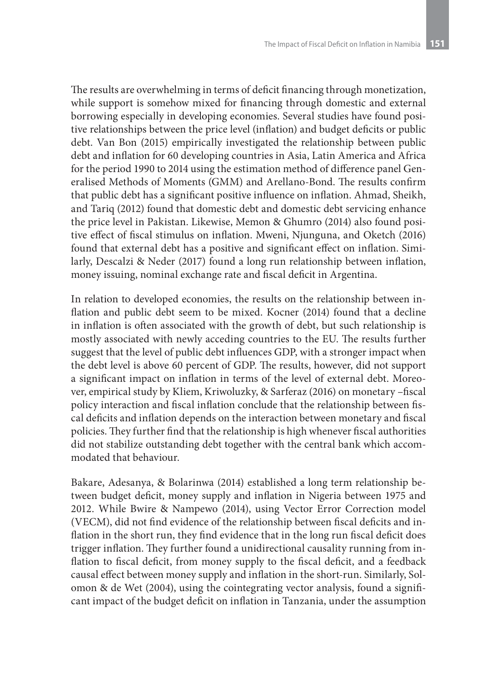The results are overwhelming in terms of deficit financing through monetization, while support is somehow mixed for financing through domestic and external borrowing especially in developing economies. Several studies have found positive relationships between the price level (inflation) and budget deficits or public debt. Van Bon (2015) empirically investigated the relationship between public debt and inflation for 60 developing countries in Asia, Latin America and Africa for the period 1990 to 2014 using the estimation method of difference panel Generalised Methods of Moments (GMM) and Arellano-Bond. The results confirm that public debt has a significant positive influence on inflation. Ahmad, Sheikh, and Tariq (2012) found that domestic debt and domestic debt servicing enhance the price level in Pakistan. Likewise, Memon & Ghumro (2014) also found positive effect of fiscal stimulus on inflation. Mweni, Njunguna, and Oketch (2016) found that external debt has a positive and significant effect on inflation. Similarly, Descalzi & Neder (2017) found a long run relationship between inflation, money issuing, nominal exchange rate and fiscal deficit in Argentina.

In relation to developed economies, the results on the relationship between inflation and public debt seem to be mixed. Kocner (2014) found that a decline in inflation is often associated with the growth of debt, but such relationship is mostly associated with newly acceding countries to the EU. The results further suggest that the level of public debt influences GDP, with a stronger impact when the debt level is above 60 percent of GDP. The results, however, did not support a significant impact on inflation in terms of the level of external debt. Moreover, empirical study by Kliem, Kriwoluzky, & Sarferaz (2016) on monetary –fiscal policy interaction and fiscal inflation conclude that the relationship between fiscal deficits and inflation depends on the interaction between monetary and fiscal policies. They further find that the relationship is high whenever fiscal authorities did not stabilize outstanding debt together with the central bank which accommodated that behaviour.

Bakare, Adesanya, & Bolarinwa (2014) established a long term relationship between budget deficit, money supply and inflation in Nigeria between 1975 and 2012. While Bwire & Nampewo (2014), using Vector Error Correction model (VECM), did not find evidence of the relationship between fiscal deficits and inflation in the short run, they find evidence that in the long run fiscal deficit does trigger inflation. They further found a unidirectional causality running from inflation to fiscal deficit, from money supply to the fiscal deficit, and a feedback causal effect between money supply and inflation in the short-run. Similarly, Solomon & de Wet (2004), using the cointegrating vector analysis, found a significant impact of the budget deficit on inflation in Tanzania, under the assumption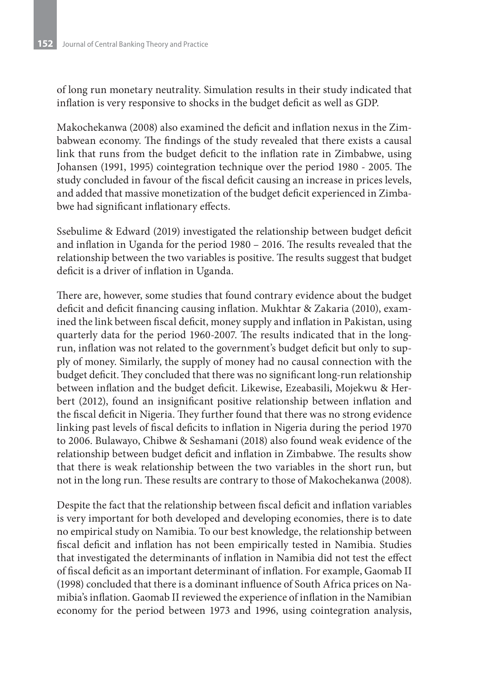of long run monetary neutrality. Simulation results in their study indicated that inflation is very responsive to shocks in the budget deficit as well as GDP.

Makochekanwa (2008) also examined the deficit and inflation nexus in the Zimbabwean economy. The findings of the study revealed that there exists a causal link that runs from the budget deficit to the inflation rate in Zimbabwe, using Johansen (1991, 1995) cointegration technique over the period 1980 - 2005. The study concluded in favour of the fiscal deficit causing an increase in prices levels, and added that massive monetization of the budget deficit experienced in Zimbabwe had significant inflationary effects.

Ssebulime & Edward (2019) investigated the relationship between budget deficit and inflation in Uganda for the period 1980 – 2016. The results revealed that the relationship between the two variables is positive. The results suggest that budget deficit is a driver of inflation in Uganda.

There are, however, some studies that found contrary evidence about the budget deficit and deficit financing causing inflation. Mukhtar & Zakaria (2010), examined the link between fiscal deficit, money supply and inflation in Pakistan, using quarterly data for the period 1960-2007. The results indicated that in the longrun, inflation was not related to the government's budget deficit but only to supply of money. Similarly, the supply of money had no causal connection with the budget deficit. They concluded that there was no significant long-run relationship between inflation and the budget deficit. Likewise, Ezeabasili, Mojekwu & Herbert (2012), found an insignificant positive relationship between inflation and the fiscal deficit in Nigeria. They further found that there was no strong evidence linking past levels of fiscal deficits to inflation in Nigeria during the period 1970 to 2006. Bulawayo, Chibwe & Seshamani (2018) also found weak evidence of the relationship between budget deficit and inflation in Zimbabwe. The results show that there is weak relationship between the two variables in the short run, but not in the long run. These results are contrary to those of Makochekanwa (2008).

Despite the fact that the relationship between fiscal deficit and inflation variables is very important for both developed and developing economies, there is to date no empirical study on Namibia. To our best knowledge, the relationship between fiscal deficit and inflation has not been empirically tested in Namibia. Studies that investigated the determinants of inflation in Namibia did not test the effect of fiscal deficit as an important determinant of inflation. For example, Gaomab II (1998) concluded that there is a dominant influence of South Africa prices on Namibia's inflation. Gaomab II reviewed the experience of inflation in the Namibian economy for the period between 1973 and 1996, using cointegration analysis,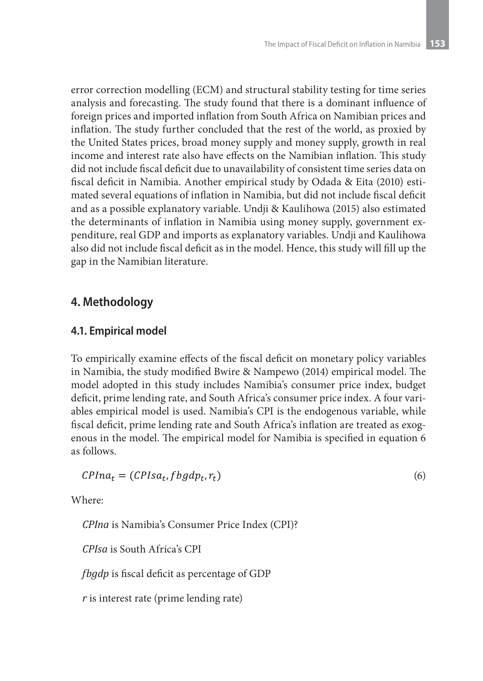error correction modelling (ECM) and structural stability testing for time series analysis and forecasting. The study found that there is a dominant influence of foreign prices and imported inflation from South Africa on Namibian prices and inflation. The study further concluded that the rest of the world, as proxied by the United States prices, broad money supply and money supply, growth in real income and interest rate also have effects on the Namibian inflation. This study did not include fiscal deficit due to unavailability of consistent time series data on fiscal deficit in Namibia. Another empirical study by Odada & Eita (2010) estimated several equations of inflation in Namibia, but did not include fiscal deficit and as a possible explanatory variable. Undji & Kaulihowa (2015) also estimated the determinants of inflation in Namibia using money supply, government expenditure, real GDP and imports as explanatory variables. Undji and Kaulihowa also did not include fiscal deficit as in the model. Hence, this study will fill up the gap in the Namibian literature.

### **4. Methodology**

### **4.1. Empirical model**

To empirically examine effects of the fiscal deficit on monetary policy variables in Namibia, the study modified Bwire & Nampewo (2014) empirical model. The model adopted in this study includes Namibia's consumer price index, budget deficit, prime lending rate, and South Africa's consumer price index. A four variables empirical model is used. Namibia's CPI is the endogenous variable, while fiscal deficit, prime lending rate and South Africa's inflation are treated as exogenous in the model. The empirical model for Namibia is specified in equation 6 as follows.

$$
CPIna_t = (CPIsa_t, fbgdp_t, r_t)
$$
\n<sup>(6)</sup>

Where:

*CPIna* is Namibia's Consumer Price Index (CPI)?

*CPIsa* is South Africa's CPI

*fbgdp* is fiscal deficit as percentage of GDP

*r* is interest rate (prime lending rate)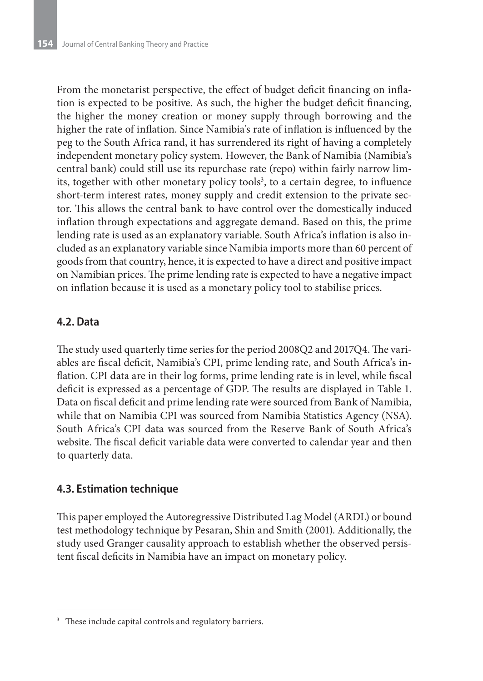From the monetarist perspective, the effect of budget deficit financing on inflation is expected to be positive. As such, the higher the budget deficit financing, the higher the money creation or money supply through borrowing and the higher the rate of inflation. Since Namibia's rate of inflation is influenced by the peg to the South Africa rand, it has surrendered its right of having a completely independent monetary policy system. However, the Bank of Namibia (Namibia's central bank) could still use its repurchase rate (repo) within fairly narrow limits, together with other monetary policy tools<sup>3</sup>, to a certain degree, to influence short-term interest rates, money supply and credit extension to the private sector. This allows the central bank to have control over the domestically induced inflation through expectations and aggregate demand. Based on this, the prime lending rate is used as an explanatory variable. South Africa's inflation is also included as an explanatory variable since Namibia imports more than 60 percent of goods from that country, hence, it is expected to have a direct and positive impact on Namibian prices. The prime lending rate is expected to have a negative impact on inflation because it is used as a monetary policy tool to stabilise prices.

### **4.2. Data**

The study used quarterly time series for the period 2008Q2 and 2017Q4. The variables are fiscal deficit, Namibia's CPI, prime lending rate, and South Africa's inflation. CPI data are in their log forms, prime lending rate is in level, while fiscal deficit is expressed as a percentage of GDP. The results are displayed in Table 1. Data on fiscal deficit and prime lending rate were sourced from Bank of Namibia, while that on Namibia CPI was sourced from Namibia Statistics Agency (NSA). South Africa's CPI data was sourced from the Reserve Bank of South Africa's website. The fiscal deficit variable data were converted to calendar year and then to quarterly data.

### **4.3. Estimation technique**

This paper employed the Autoregressive Distributed Lag Model (ARDL) or bound test methodology technique by Pesaran, Shin and Smith (2001). Additionally, the study used Granger causality approach to establish whether the observed persistent fiscal deficits in Namibia have an impact on monetary policy.

<sup>&</sup>lt;sup>3</sup> These include capital controls and regulatory barriers.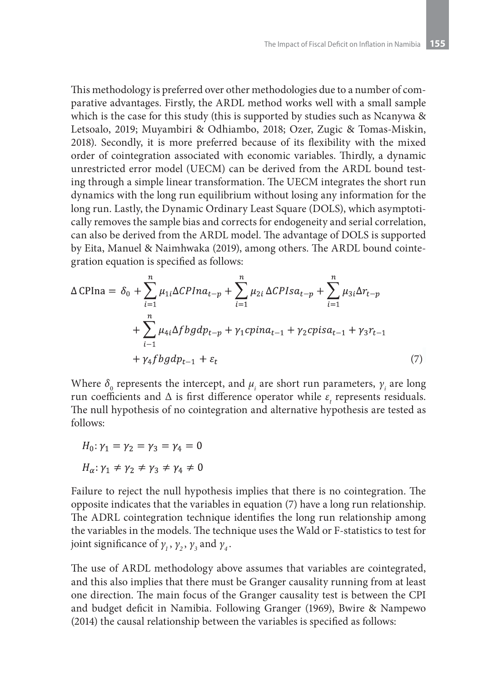This methodology is preferred over other methodologies due to a number of comparative advantages. Firstly, the ARDL method works well with a small sample which is the case for this study (this is supported by studies such as Ncanywa & Letsoalo, 2019; Muyambiri & Odhiambo, 2018; Ozer, Zugic & Tomas-Miskin, 2018). Secondly, it is more preferred because of its flexibility with the mixed order of cointegration associated with economic variables. Thirdly, a dynamic unrestricted error model (UECM) can be derived from the ARDL bound testing through a simple linear transformation. The UECM integrates the short run dynamics with the long run equilibrium without losing any information for the long run. Lastly, the Dynamic Ordinary Least Square (DOLS), which asymptotically removes the sample bias and corrects for endogeneity and serial correlation, can also be derived from the ARDL model. The advantage of DOLS is supported by Eita, Manuel & Naimhwaka (2019), among others. The ARDL bound cointegration equation is specified as follows:

$$
\Delta CPIna = \delta_0 + \sum_{i=1}^n \mu_{1i} \Delta CPIna_{t-p} + \sum_{i=1}^n \mu_{2i} \Delta CPIsa_{t-p} + \sum_{i=1}^n \mu_{3i} \Delta r_{t-p} + \sum_{i=1}^n \mu_{4i} \Delta f b g dp_{t-p} + \gamma_1 c p ina_{t-1} + \gamma_2 c p is a_{t-1} + \gamma_3 r_{t-1} + \gamma_4 f b g dp_{t-1} + \varepsilon_t
$$
 (7)

Where  $\delta_{_0}$  represents the intercept, and  $\mu_{_i}$  are short run parameters,  $\gamma_{_i}$  are long run coefficients and  $\Delta$  is first difference operator while  $\varepsilon_t$  represents residuals. The null hypothesis of no cointegration and alternative hypothesis are tested as follows:

$$
H_0: \gamma_1 = \gamma_2 = \gamma_3 = \gamma_4 = 0
$$
  

$$
H_\alpha: \gamma_1 \neq \gamma_2 \neq \gamma_3 \neq \gamma_4 \neq 0
$$

Failure to reject the null hypothesis implies that there is no cointegration. The opposite indicates that the variables in equation (7) have a long run relationship. The ADRL cointegration technique identifies the long run relationship among the variables in the models. The technique uses the Wald or F-statistics to test for joint significance of  $\gamma_1$ ,  $\gamma_2$ ,  $\gamma_3$  and  $\gamma_4$ .

The use of ARDL methodology above assumes that variables are cointegrated, and this also implies that there must be Granger causality running from at least one direction. The main focus of the Granger causality test is between the CPI and budget deficit in Namibia. Following Granger (1969), Bwire & Nampewo (2014) the causal relationship between the variables is specified as follows: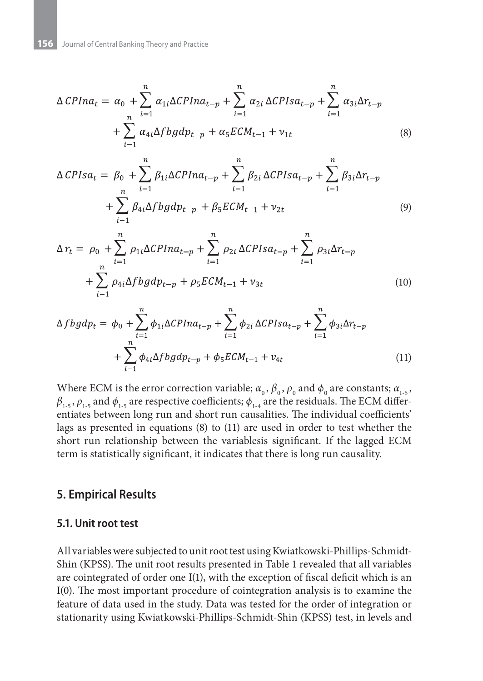$$
\Delta CPIna_t = \alpha_0 + \sum_{i=1}^n \alpha_{1i} \Delta CPIna_{t-p} + \sum_{i=1}^n \alpha_{2i} \Delta CPIsa_{t-p} + \sum_{i=1}^n \alpha_{3i} \Delta r_{t-p} + \sum_{i=1}^n \alpha_{4i} \Delta f b g d p_{t-p} + \alpha_5 E C M_{t-1} + v_{1t}
$$
\n(8)

$$
\Delta CPIsa_{t} = \beta_{0} + \sum_{i=1}^{n} \beta_{1i} \Delta CPIna_{t-p} + \sum_{i=1}^{n} \beta_{2i} \Delta CPIsa_{t-p} + \sum_{i=1}^{n} \beta_{3i} \Delta r_{t-p} + \sum_{i=1}^{n} \beta_{4i} \Delta fbgdp_{t-p} + \beta_{5} ECM_{t-1} + \nu_{2t}
$$
\n(9)

$$
\Delta r_t = \rho_0 + \sum_{i=1}^n \rho_{1i} \Delta CPIna_{t-p} + \sum_{i=1}^n \rho_{2i} \Delta CPIsa_{t-p} + \sum_{i=1}^n \rho_{3i} \Delta r_{t-p} + \sum_{i=1}^n \rho_{4i} \Delta f b g dp_{t-p} + \rho_5 ECM_{t-1} + \nu_{3t}
$$
\n(10)

$$
\Delta f b g d p_t = \phi_0 + \sum_{i=1}^n \phi_{1i} \Delta C P I n a_{t-p} + \sum_{i=1}^n \phi_{2i} \Delta C P I s a_{t-p} + \sum_{i=1}^n \phi_{3i} \Delta r_{t-p} + \sum_{i=1}^n \phi_{4i} \Delta f b g d p_{t-p} + \phi_5 E C M_{t-1} + v_{4t}
$$
\n(11)

Where ECM is the error correction variable;  $\alpha_0$ ,  $\beta_0$ ,  $\rho_0$  and  $\phi_0$  are constants;  $\alpha_{1.5}$ ,  $\beta_{_{1\text{-}5}}, \rho_{_{1\text{-}5}}$  and  $\phi_{_{1\text{-}5}}$  are respective coefficients;  $\phi_{_{1\text{-}4}}$  are the residuals. The ECM differentiates between long run and short run causalities. The individual coefficients' lags as presented in equations (8) to (11) are used in order to test whether the short run relationship between the variablesis significant. If the lagged ECM term is statistically significant, it indicates that there is long run causality.

#### **5. Empirical Results**

#### **5.1. Unit root test**

All variables were subjected to unit root test using Kwiatkowski-Phillips-Schmidt-Shin (KPSS). The unit root results presented in Table 1 revealed that all variables are cointegrated of order one I(1), with the exception of fiscal deficit which is an I(0). The most important procedure of cointegration analysis is to examine the feature of data used in the study. Data was tested for the order of integration or stationarity using Kwiatkowski-Phillips-Schmidt-Shin (KPSS) test, in levels and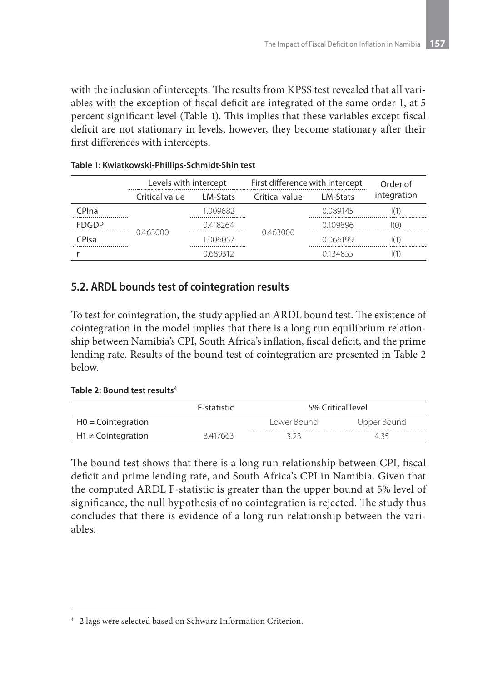with the inclusion of intercepts. The results from KPSS test revealed that all variables with the exception of fiscal deficit are integrated of the same order 1, at 5 percent significant level (Table 1). This implies that these variables except fiscal deficit are not stationary in levels, however, they become stationary after their first differences with intercepts.

|              | Levels with intercept |                 | First difference with intercept |          | Order of    |
|--------------|-----------------------|-----------------|---------------------------------|----------|-------------|
|              | Critical value        | <b>IM-Stats</b> | Critical value                  | LM-Stats | integration |
| CPIna        |                       | 1 009682        |                                 | 0.089145 |             |
| <b>FDGDP</b> |                       | 0.418264        |                                 | 0.109896 | (0)         |
| CPIsa        | 0.463000              | 1 006057        | 0.463000                        | 0066199  |             |
|              |                       | 0 689312        |                                 | 0134855  |             |

#### **Table 1: Kwiatkowski-Phillips-Schmidt-Shin test**

### **5.2. ARDL bounds test of cointegration results**

To test for cointegration, the study applied an ARDL bound test. The existence of cointegration in the model implies that there is a long run equilibrium relationship between Namibia's CPI, South Africa's inflation, fiscal deficit, and the prime lending rate. Results of the bound test of cointegration are presented in Table 2 below.

#### **Table 2: Bound test results4**

|                         | F-statistic | 5% Critical level |             |  |
|-------------------------|-------------|-------------------|-------------|--|
| $H0 =$ Cointegration    |             | Lower Bound       | Upper Bound |  |
| $H1 \neq$ Cointegration | 8417663     |                   | 4,55        |  |

The bound test shows that there is a long run relationship between CPI, fiscal deficit and prime lending rate, and South Africa's CPI in Namibia. Given that the computed ARDL F-statistic is greater than the upper bound at 5% level of significance, the null hypothesis of no cointegration is rejected. The study thus concludes that there is evidence of a long run relationship between the variables.

<sup>4</sup> 2 lags were selected based on Schwarz Information Criterion.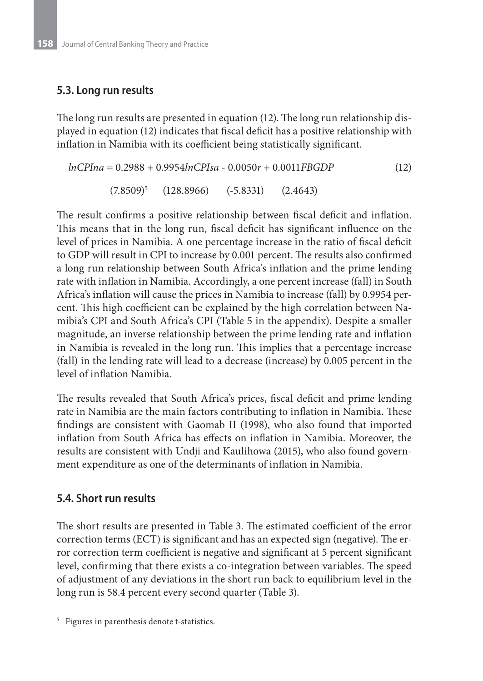### **5.3. Long run results**

The long run results are presented in equation (12). The long run relationship displayed in equation (12) indicates that fiscal deficit has a positive relationship with inflation in Namibia with its coefficient being statistically significant.

$$
lnCPIna = 0.2988 + 0.9954lnCPIsa - 0.0050r + 0.0011FBGDP
$$
\n(12)  
\n(7.8509)<sup>5</sup> (128.8966) (-5.8331) (2.4643)

The result confirms a positive relationship between fiscal deficit and inflation. This means that in the long run, fiscal deficit has significant influence on the level of prices in Namibia. A one percentage increase in the ratio of fiscal deficit to GDP will result in CPI to increase by 0.001 percent. The results also confirmed a long run relationship between South Africa's inflation and the prime lending rate with inflation in Namibia. Accordingly, a one percent increase (fall) in South Africa's inflation will cause the prices in Namibia to increase (fall) by 0.9954 percent. This high coefficient can be explained by the high correlation between Namibia's CPI and South Africa's CPI (Table 5 in the appendix). Despite a smaller magnitude, an inverse relationship between the prime lending rate and inflation in Namibia is revealed in the long run. This implies that a percentage increase (fall) in the lending rate will lead to a decrease (increase) by 0.005 percent in the level of inflation Namibia.

The results revealed that South Africa's prices, fiscal deficit and prime lending rate in Namibia are the main factors contributing to inflation in Namibia. These findings are consistent with Gaomab II (1998), who also found that imported inflation from South Africa has effects on inflation in Namibia. Moreover, the results are consistent with Undji and Kaulihowa (2015), who also found government expenditure as one of the determinants of inflation in Namibia.

### **5.4. Short run results**

The short results are presented in Table 3. The estimated coefficient of the error correction terms (ECT) is significant and has an expected sign (negative). The error correction term coefficient is negative and significant at 5 percent significant level, confirming that there exists a co-integration between variables. The speed of adjustment of any deviations in the short run back to equilibrium level in the long run is 58.4 percent every second quarter (Table 3).

<sup>5</sup> Figures in parenthesis denote t-statistics.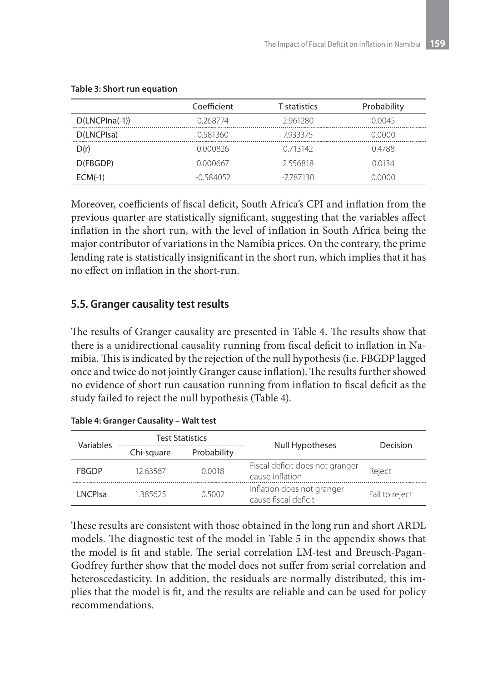|                  | Coefficient | <b>T</b> statistics | Probability |
|------------------|-------------|---------------------|-------------|
| $D(LNCPIna(-1))$ | 0.268774    | 2961280             | N NN 45     |
| D(LNCPIsa)       | 0.581360    | 7933375             | 0.0000      |
| D(r)             | 0.000826    | 0 713142            | 04788       |
| D(FBGDP)         | 0.000667    | 2556818             | 0.0134      |
| $ECM(-1)$        | -0 584052   | -7787130            | I NUUU      |

#### **Table 3: Short run equation**

Moreover, coefficients of fiscal deficit, South Africa's CPI and inflation from the previous quarter are statistically significant, suggesting that the variables affect inflation in the short run, with the level of inflation in South Africa being the major contributor of variations in the Namibia prices. On the contrary, the prime lending rate is statistically insignificant in the short run, which implies that it has no effect on inflation in the short-run.

### **5.5. Granger causality test results**

The results of Granger causality are presented in Table 4. The results show that there is a unidirectional causality running from fiscal deficit to inflation in Namibia. This is indicated by the rejection of the null hypothesis (i.e. FBGDP lagged once and twice do not jointly Granger cause inflation). The results further showed no evidence of short run causation running from inflation to fiscal deficit as the study failed to reject the null hypothesis (Table 4).

|                         | <b>Test Statistics</b> |             |                                                    | Decision       |
|-------------------------|------------------------|-------------|----------------------------------------------------|----------------|
| Variables<br>Chi-square |                        | Probability | <b>Null Hypotheses</b>                             |                |
| <b>FRGDP</b>            | 1263567                | 0.0018      | Fiscal deficit does not granger<br>cause inflation | Reiect         |
| I NCPIsa                | 1385625                | 0.5002      | Inflation does not granger<br>cause fiscal deficit | Fail to reject |

**Table 4: Granger Causality – Walt test**

These results are consistent with those obtained in the long run and short ARDL models. The diagnostic test of the model in Table 5 in the appendix shows that the model is fit and stable. The serial correlation LM-test and Breusch-Pagan-Godfrey further show that the model does not suffer from serial correlation and heteroscedasticity. In addition, the residuals are normally distributed, this implies that the model is fit, and the results are reliable and can be used for policy recommendations.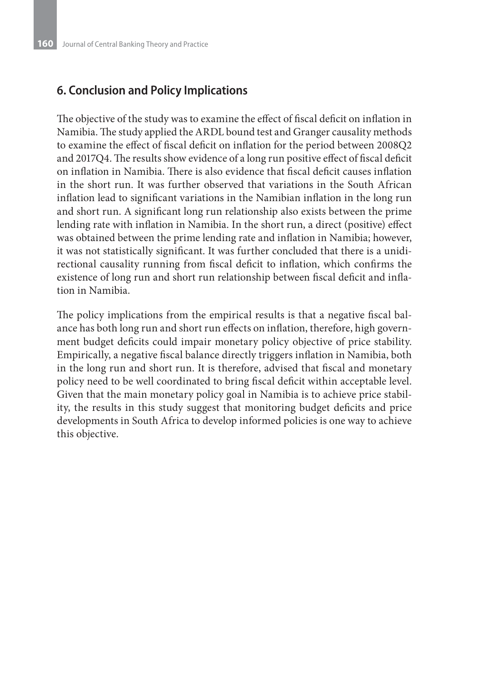### **6. Conclusion and Policy Implications**

The objective of the study was to examine the effect of fiscal deficit on inflation in Namibia. The study applied the ARDL bound test and Granger causality methods to examine the effect of fiscal deficit on inflation for the period between 2008Q2 and 2017Q4. The results show evidence of a long run positive effect of fiscal deficit on inflation in Namibia. There is also evidence that fiscal deficit causes inflation in the short run. It was further observed that variations in the South African inflation lead to significant variations in the Namibian inflation in the long run and short run. A significant long run relationship also exists between the prime lending rate with inflation in Namibia. In the short run, a direct (positive) effect was obtained between the prime lending rate and inflation in Namibia; however, it was not statistically significant. It was further concluded that there is a unidirectional causality running from fiscal deficit to inflation, which confirms the existence of long run and short run relationship between fiscal deficit and inflation in Namibia.

The policy implications from the empirical results is that a negative fiscal balance has both long run and short run effects on inflation, therefore, high government budget deficits could impair monetary policy objective of price stability. Empirically, a negative fiscal balance directly triggers inflation in Namibia, both in the long run and short run. It is therefore, advised that fiscal and monetary policy need to be well coordinated to bring fiscal deficit within acceptable level. Given that the main monetary policy goal in Namibia is to achieve price stability, the results in this study suggest that monitoring budget deficits and price developments in South Africa to develop informed policies is one way to achieve this objective.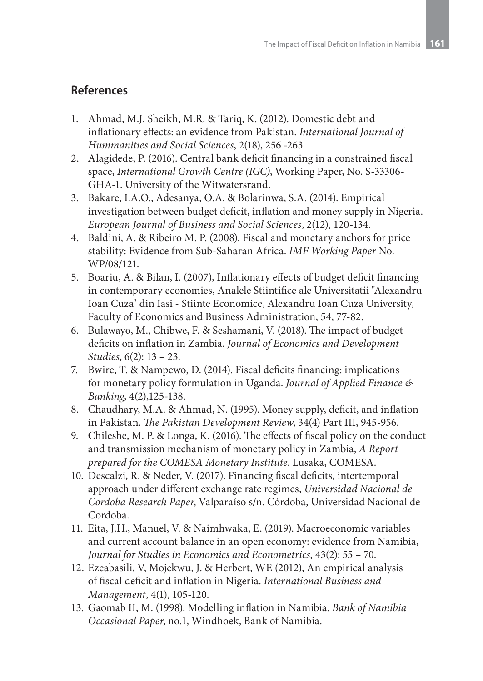### **References**

- 1. Ahmad, M.J. Sheikh, M.R. & Tariq, K. (2012). Domestic debt and inflationary effects: an evidence from Pakistan. *International Journal of Hummanities and Social Sciences*, 2(18), 256 -263.
- 2. Alagidede, P. (2016). Central bank deficit financing in a constrained fiscal space, *International Growth Centre (IGC)*, Working Paper, No. S-33306- GHA-1. University of the Witwatersrand.
- 3. Bakare, I.A.O., Adesanya, O.A. & Bolarinwa, S.A. (2014). Empirical investigation between budget deficit, inflation and money supply in Nigeria. *European Journal of Business and Social Sciences*, 2(12), 120-134.
- 4. Baldini, A. & Ribeiro M. P. (2008). Fiscal and monetary anchors for price stability: Evidence from Sub-Saharan Africa. *IMF Working Paper* No. WP/08/121.
- 5. Boariu, A. & Bilan, I. (2007), Inflationary effects of budget deficit financing in contemporary economies, Analele Stiintifice ale Universitatii "Alexandru Ioan Cuza" din Iasi - Stiinte Economice, Alexandru Ioan Cuza University, Faculty of Economics and Business Administration, 54, 77-82.
- 6. Bulawayo, M., Chibwe, F. & Seshamani, V. (2018). The impact of budget deficits on inflation in Zambia. *Journal of Economics and Development Studies*, 6(2): 13 – 23.
- 7. Bwire, T. & Nampewo, D. (2014). Fiscal deficits financing: implications for monetary policy formulation in Uganda. *Journal of Applied Finance & Banking*, 4(2),125-138.
- 8. Chaudhary, M.A. & Ahmad, N. (1995). Money supply, deficit, and inflation in Pakistan. *The Pakistan Development Review*, 34(4) Part III, 945-956.
- 9. Chileshe, M. P. & Longa, K. (2016). The effects of fiscal policy on the conduct and transmission mechanism of monetary policy in Zambia, *A Report prepared for the COMESA Monetary Institute*. Lusaka, COMESA.
- 10. Descalzi, R. & Neder, V. (2017). Financing fiscal deficits, intertemporal approach under different exchange rate regimes, *Universidad Nacional de Cordoba Research Paper*, Valparaíso s/n. Córdoba, Universidad Nacional de Cordoba.
- 11. Eita, J.H., Manuel, V. & Naimhwaka, E. (2019). Macroeconomic variables and current account balance in an open economy: evidence from Namibia, *Journal for Studies in Economics and Econometrics*, 43(2): 55 – 70.
- 12. Ezeabasili, V, Mojekwu, J. & Herbert, WE (2012), An empirical analysis of fiscal deficit and inflation in Nigeria. *International Business and Management*, 4(1), 105-120.
- 13. Gaomab II, M. (1998). Modelling inflation in Namibia. *Bank of Namibia Occasional Paper*, no.1, Windhoek, Bank of Namibia.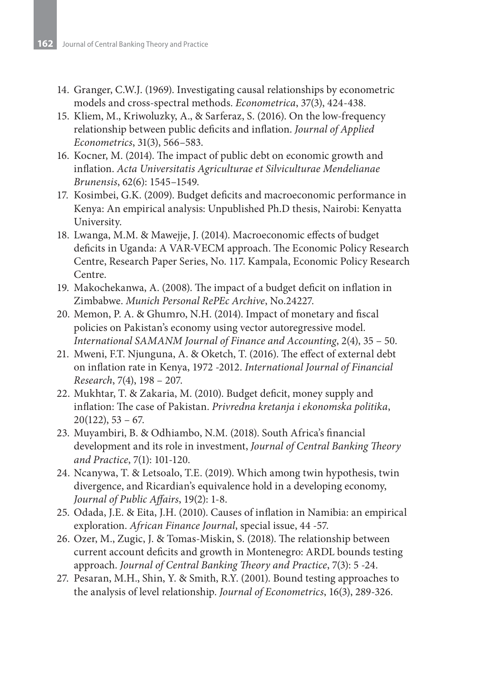- 14. Granger, C.W.J. (1969). Investigating causal relationships by econometric models and cross-spectral methods. *Econometrica*, 37(3), 424-438.
- 15. Kliem, M., Kriwoluzky, A., & Sarferaz, S. (2016). On the low-frequency relationship between public deficits and inflation. *Journal of Applied Econometrics*, 31(3), 566–583.
- 16. Kocner, M. (2014). The impact of public debt on economic growth and inflation. *Acta Universitatis Agriculturae et Silviculturae Mendelianae Brunensis*, 62(6): 1545–1549.
- 17. Kosimbei, G.K. (2009). Budget deficits and macroeconomic performance in Kenya: An empirical analysis: Unpublished Ph.D thesis, Nairobi: Kenyatta University.
- 18. Lwanga, M.M. & Mawejje, J. (2014). Macroeconomic effects of budget deficits in Uganda: A VAR-VECM approach. The Economic Policy Research Centre, Research Paper Series, No. 117. Kampala, Economic Policy Research Centre.
- 19. Makochekanwa, A. (2008). The impact of a budget deficit on inflation in Zimbabwe. *Munich Personal RePEc Archive*, No.24227.
- 20. Memon, P. A. & Ghumro, N.H. (2014). Impact of monetary and fiscal policies on Pakistan's economy using vector autoregressive model. *International SAMANM Journal of Finance and Accounting*, 2(4), 35 – 50.
- 21. Mweni, F.T. Njunguna, A. & Oketch, T. (2016). The effect of external debt on inflation rate in Kenya, 1972 -2012. *International Journal of Financial Research*, 7(4), 198 – 207.
- 22. Mukhtar, T. & Zakaria, M. (2010). Budget deficit, money supply and inflation: The case of Pakistan. *Privredna kretanja i ekonomska politika*,  $20(122)$ , 53 – 67.
- 23. Muyambiri, B. & Odhiambo, N.M. (2018). South Africa's financial development and its role in investment, *Journal of Central Banking Theory and Practice*, 7(1): 101-120.
- 24. Ncanywa, T. & Letsoalo, T.E. (2019). Which among twin hypothesis, twin divergence, and Ricardian's equivalence hold in a developing economy, *Journal of Public Affairs*, 19(2): 1-8.
- 25. Odada, J.E. & Eita, J.H. (2010). Causes of inflation in Namibia: an empirical exploration. *African Finance Journal*, special issue, 44 -57.
- 26. Ozer, M., Zugic, J. & Tomas-Miskin, S. (2018). The relationship between current account deficits and growth in Montenegro: ARDL bounds testing approach. *Journal of Central Banking Theory and Practice*, 7(3): 5 -24.
- 27. Pesaran, M.H., Shin, Y. & Smith, R.Y. (2001). Bound testing approaches to the analysis of level relationship. *Journal of Econometrics*, 16(3), 289-326.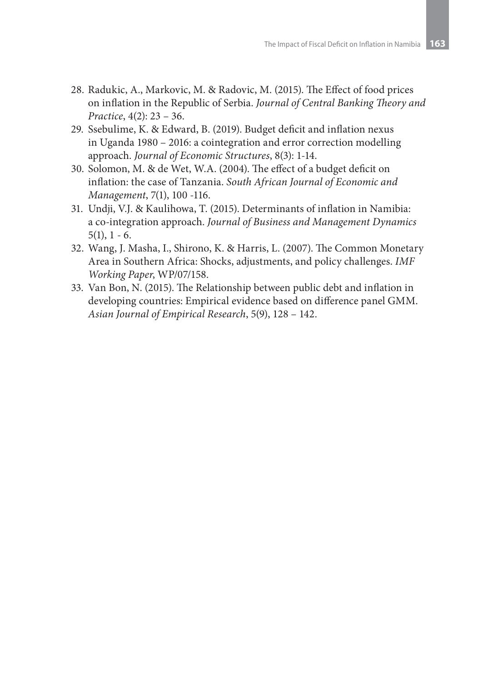- 28. Radukic, A., Markovic, M. & Radovic, M. (2015). The Effect of food prices on inflation in the Republic of Serbia. *Journal of Central Banking Theory and Practice*, 4(2): 23 – 36.
- 29. Ssebulime, K. & Edward, B. (2019). Budget deficit and inflation nexus in Uganda 1980 – 2016: a cointegration and error correction modelling approach. *Journal of Economic Structures*, 8(3): 1-14.
- 30. Solomon, M. & de Wet, W.A. (2004). The effect of a budget deficit on inflation: the case of Tanzania. *South African Journal of Economic and Management*, 7(1), 100 -116.
- 31. Undji, V.J. & Kaulihowa, T. (2015). Determinants of inflation in Namibia: a co-integration approach. *Journal of Business and Management Dynamics*  $5(1), 1 - 6.$
- 32. Wang, J. Masha, I., Shirono, K. & Harris, L. (2007). The Common Monetary Area in Southern Africa: Shocks, adjustments, and policy challenges. *IMF Working Paper*, WP/07/158.
- 33. Van Bon, N. (2015). The Relationship between public debt and inflation in developing countries: Empirical evidence based on difference panel GMM. *Asian Journal of Empirical Research*, 5(9), 128 – 142.